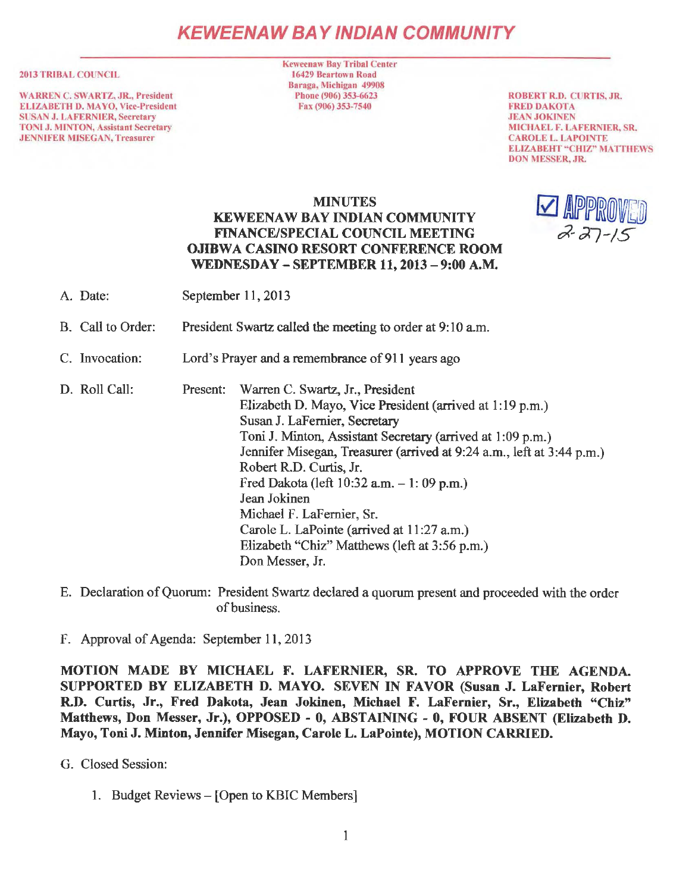# **KEWEENAW BAY IND/AN COMMUNITY**

#### 2013 TRIBAL COUNCIL

WARREN C. SWARTZ, JR., President ELIZABETH D. MAYO, Vice-President SUSAN J. LA FERNIER, Secretary TONI J. MINTON, Assistant Secretary JENNIFER MJSEGAN, Treasurer

Keweenaw Bay Tribal Center 16429 Beartown Road Baraga, Michigan 49908 Phone (906) 353-6623 Fax (906) 353-7540

ROBERT R.D. CURTIS, JR. FRED DAKOTA JEAN JOKINEN MICHAEL F. LAFERNIER, SR. CAROLE L. LAPOJNTE ELIZABEHT "CHIZ" MATTHEWS DON MESSER, JR.

> $\blacktriangleright$  approved  $27 - 15$

### MINUTES KEWEENAW BAY INDIAN COMMUNITY FINANCE/SPECIAL COUNCIL MEETING OJIBWA CASINO RESORT CONFERENCE ROOM WEDNESDAY - SEPTEMBER 11, 2013 - 9:00 A.M.

- A. Date: September 11, 2013
- B. Call to Order: President Swartz called the meeting to order at 9:10 a.m.
- C. Invocation: Lord's Prayer and a remembrance of 911 years ago

D. Roll Call: Present: Warren C. Swartz, Jr., President Elizabeth D. Mayo, Vice President (arrived at 1: 19 p.m.) Susan J. LaFernier, Secretary Toni J. Minton, Assistant Secretary (arrived at 1 :09 p.m.) Jennifer Misegan, Treasurer (arrived at 9:24 a.m., left at 3:44 p.m.) Robert R.D. Curtis, Jr. Fred Dakota (left  $10:32$  a.m.  $-1:09$  p.m.) Jean Jokinen Michael F. LaFernier, Sr. Carole L. LaPointe (arrived at 11 :27 a.m.) Elizabeth "Chiz" Matthews (left at 3:56 p.m.) Don Messer, Jr.

E. Declaration of Quorum: President Swartz declared a quorum present and proceeded with the order of business.

F. Approval of Agenda: September 11, 2013

MOTION MADE BY MICHAEL F. LAFERNIER, SR. TO APPROVE THE AGENDA. SUPPORTED BY ELIZABETH D. MAYO. SEVEN IN FAVOR (Susan J. LaFemier, Robert R.D. Curtis, Jr., Fred Dakota, Jean Jokinen, Michael F. LaFernier, Sr., Elizabeth "Chiz" Matthews, Don Messer, Jr.), OPPOSED - 0, ABSTAINING - 0, FOUR ABSENT (Elizabeth D. Mayo, Toni J. Minton, Jennifer Misegan, Carole L. LaPointe), MOTION CARRIED.

G. Closed Session:

1. Budget Reviews – [Open to KBIC Members]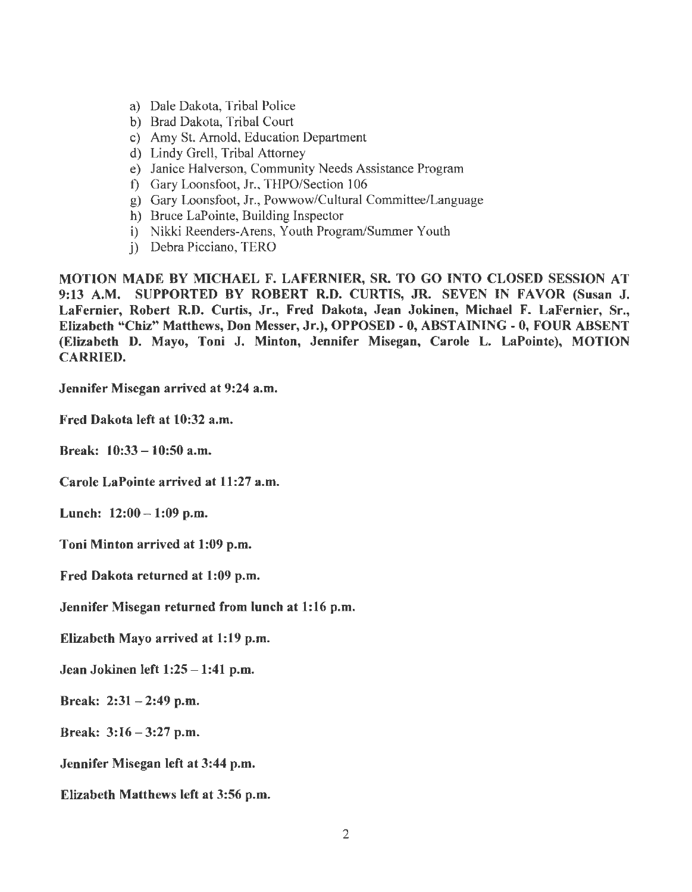- a) Dale Dakota, Tribal Police
- b) Brad Dakota, Tribal Court
- c) Amy St. Arnold, Education Department
- d) Lindy Grell, Tribal Attorney
- e) Janice Halverson, Community Needs Assistance Program
- f) Gary Loonsfoot, Jr., THPO/Section 106
- g) Gary Loonsfoot, Jr., Powwow/Cultural Committee/Language
- h) Bruce LaPointe, Building Inspector
- i) Nikki Reenders-Arens, Youth Program/Summer Youth
- j) Debra Picciano, TERO

MOTION MADE BY MICHAEL F. LAFERNIER, SR. TO GO INTO CLOSED SESSION AT 9:13 A.M. SUPPORTED BY ROBERT R.D. CURTIS, JR. SEVEN IN FAVOR (Susan J. LaFernier, Robert R.D. Curtis, Jr., Fred Dakota, Jean Jokinen, Michael F. LaFernier, Sr., Elizabeth "Chiz" Matthews, Don Messer, Jr.), OPPOSED - O, ABSTAINING - 0, FOUR ABSENT (Elizabeth D. Mayo, Toni J. Minton, Jennifer Misegan, Carole L. LaPointe), MOTION CARRIED.

Jennifer Misegan arrived at 9:24 a.m.

Fred Dakota left at 10:32 a.m.

Break: 10:33 - 10:50 a.m.

Carole LaPointe arrived at 11:27 a.m.

Lunch: 12:00-1:09 p.m.

Toni Minton arrived at 1:09 p.m.

Fred Dakota returned at 1:09 p.m.

Jennifer Misegan returned from lunch at 1:16 p.m.

Elizabeth Mayo arrived at 1:19 p.m.

Jean Jokinen left  $1:25 - 1:41$  p.m.

Break:  $2:31 - 2:49$  p.m.

Break:  $3:16 - 3:27$  p.m.

Jennifer Misegan left at 3:44 p.m.

Elizabeth Matthews left at 3:56 p.m.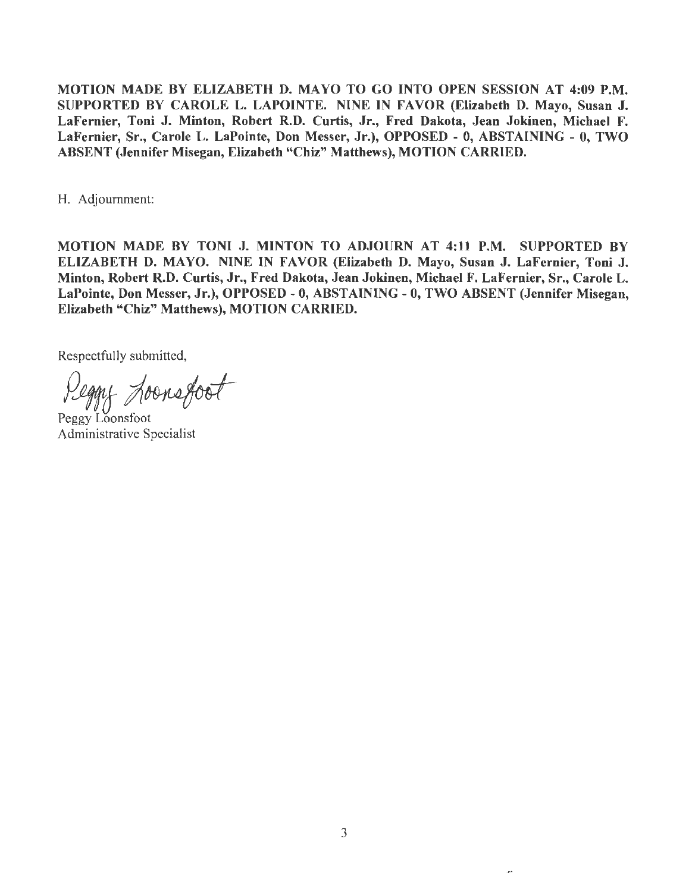MOTION MADE BY ELIZABETH D. MA YO TO GO INTO OPEN SESSION AT 4:09 P.M. SUPPORTED BY CAROLE L. LAPOINTE. NINE IN FAVOR (Elizabeth D. Mayo, Susan J. LaFernier, Toni J. Minton, Robert R.D. Curtis, Jr., Fred Dakota, Jean Jokinen, Michael F. LaFernier, Sr., Carole L. LaPointe, Don Messer, Jr.), OPPOSED - O, ABSTAINING - 0, TWO ABSENT (Jennifer Misegan, Elizabeth "Chiz" Matthews), MOTION CARRIED.

H. Adjournment:

MOTION MADE BY TONI J. MINTON TO ADJOURN AT 4:11 P.M. SUPPORTED BY ELIZABETH D. MA YO. NINE IN FAVOR (Elizabeth D. Mayo, Susan J. LaFernier, Toni J. Minton, Robert R.D. Curtis, Jr., Fred Dakota, Jean Jokinen, Michael F. LaFernier, Sr., Carole L. LaPointe, Don Messer, Jr.), OPPOSED - 0, ABSTAINING - O, TWO ABSENT (Jennifer Misegan, Elizabeth "Chiz" Matthews), MOTION CARRIED.

RespectfuJJy submitted,

egnt hoonsfoot

Peggy Loonsfoot Administrative Specialist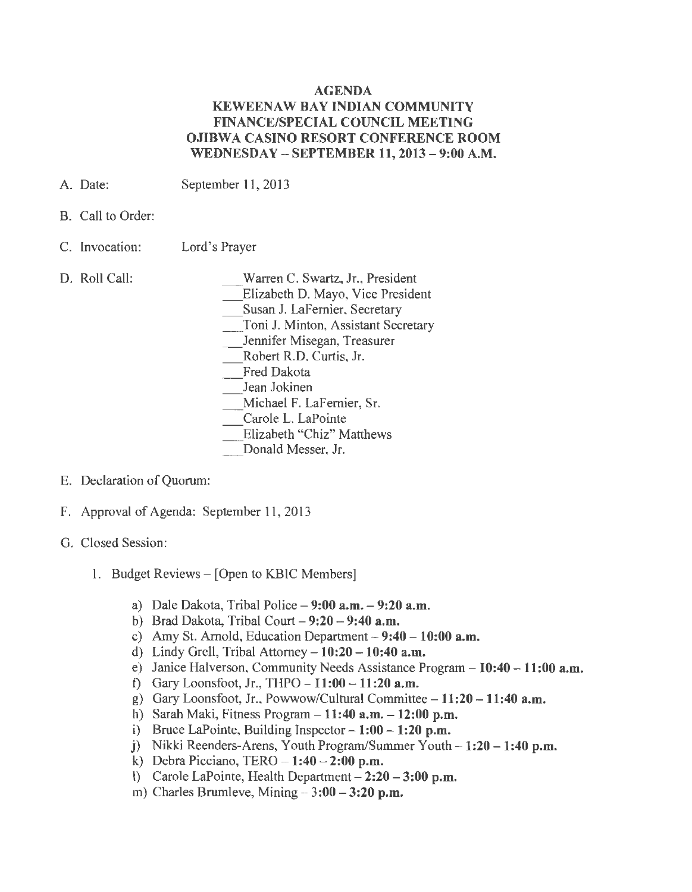### AGENDA KEWEENAW BAY INDIAN COMMUNITY FINANCE/SPECIAL COUNCIL MEETING OJIBWA CASINO RESORT CONFERENCE ROOM WEDNESDAY - SEPTEMBER 11, 2013 - 9:00 A.M.

- A. Date: September 11, 2013
- B. Call to Order:
- C. Invocation: Lord's Prayer
- D. Roll Call:

Warren C. Swartz, Jr., President

\_ Elizabeth D. Mayo, Vice President

Susan J. LaFernier, Secretary

\_ Toni J. Minton, Assistant Secretary

\_ Jennifer Misegan, Treasurer

Robert R.D. Curtis, Jr.

- Fred Dakota
- Jean Jokinen

\_ Michael F. LaFernier, Sr.

- Carole L. LaPointe
- Elizabeth "Chiz" Matthews

Donald Messer, Jr.

- E. Declaration of Quorum:
- F. Approval of Agenda: September 11, 2013
- G. Closed Session:
	- 1. Budget Reviews [Open to KBIC Members]
		- a) Dale Dakota, Tribal Police  $-9:00$  a.m.  $-9:20$  a.m.
		- b) Brad Dakota, Tribal Court  $-9:20 9:40$  a.m.
		- c) Amy St. Arnold, Education Department  $-9:40 10:00$  a.m.
		- d) Lindy Grell, Tribal Attorney  $-10:20 10:40$  a.m.
		- e) Janice Halverson, Community Needs Assistance Program  $-10:40 11:00$  a.m.
		- f) Gary Loonsfoot, Jr., THPO  $11:00 11:20$  a.m.
		- g) Gary Loonsfoot, Jr., Powwow/Cultural Committee  $-11:20 11:40$  a.m.
		- h) Sarah Maki, Fitness Program  $-11:40$  a.m.  $-12:00$  p.m.
		- i) Bruce LaPointe, Building Inspector  $-1:00 1:20$  p.m.
		- j) Nikki Reenders-Arens, Youth Program/Summer Youth  $-1:20 1:40$  p.m.
		- k) Debra Picciano, TERO  $-1:40 2:00$  p.m.
		- l) Carole LaPointe, Health Department  $-2:20 3:00$  p.m.
		- m) Charles Brumleve, Mining  $-3:00 3:20$  p.m.